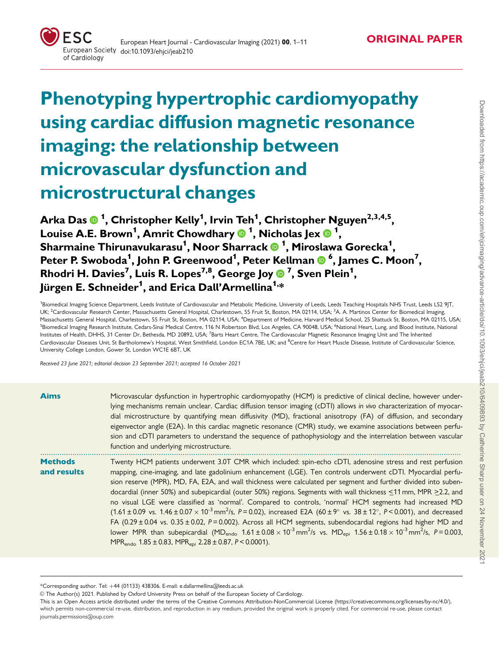

# Phenotyping hypertrophic cardiomyopathy using cardiac diffusion magnetic resonance imaging: the relationship between microvascular dysfunction and microstructural changes

Arka Das <sup>1</sup> , Christopher Kelly1 , Irvin Teh1 , Christopher Nguyen2,3,4,5, Louise A.E. Brown<sup>1</sup>, Amrit Chowdhary **@** <sup>1</sup>, Nicholas Jex **@** <sup>1</sup>, Sharmaine Thirunavukarasu1 , Noor Sharrack <sup>1</sup> , Miroslawa Gorecka1 , Peter P. Swoboda<sup>1</sup>, John P. Greenwood<sup>1</sup>, Peter Kellman **®** <sup>6</sup>, James C. Moon<sup>7</sup>, Rhodri H. Davies<sup>7</sup>, Luis R. Lopes<sup>7,8</sup>, George Joy ® <sup>7</sup>, Sven Plein<sup>1</sup>, Jürgen E. Schneider<sup>1</sup>, and Erica Dall'Armellina<sup>1,</sup>\*

<sup>1</sup>Biomedical Imaging Science Department, Leeds Institute of Cardiovascular and Metabolic Medicine, University of Leeds, Leeds Teaching Hospitals NHS Trust, Leeds LS2 9JT, UK; <sup>2</sup>Cardiovascular Research Center, Massachusetts General Hospital, Charlestown, 55 Fruit St, Boston, MA 02114, USA; <sup>3</sup>A. A. Martinos Center for Biomedical Imaging Massachusetts General Hospital, Charlestown, 55 Fruit St, Boston, MA 02114, USA; <sup>4</sup>Department of Medicine, Harvard Medical School, 25 Shattuck St, Boston, MA 02115, USA <sup>5</sup>Biomedical Imaging Research Institute, Cedars-Sinai Medical Centre, 116 N Robertson Blvd, Los Angeles, CA 90048, USA; <sup>6</sup>National Heart, Lung, and Blood Institute, National Institutes of Health, DHHS, 31 Center Dr, Bethesda, MD 20892, USA; <sup>7</sup>Barts Heart Centre, The Cardiovascular Magnetic Resonance Imaging Unit and The Inherited Cardiovascular Diseases Unit, St Bartholomew's Hospital, West Smithfield, London EC1A 7BE, UK; and <sup>8</sup>Centre for Heart Muscle Disease, Institute of Cardiovascular Science. University College London, Gower St, London WC1E 6BT, UK

Received 23 June 2021; editorial decision 23 September 2021; accepted 16 October 2021

| <b>Aims</b>                   | Microvascular dysfunction in hypertrophic cardiomyopathy (HCM) is predictive of clinical decline, however under-<br>lying mechanisms remain unclear. Cardiac diffusion tensor imaging (cDTI) allows in vivo characterization of myocar-<br>dial microstructure by quantifying mean diffusivity (MD), fractional anisotropy (FA) of diffusion, and secondary<br>eigenvector angle (E2A). In this cardiac magnetic resonance (CMR) study, we examine associations between perfu-<br>sion and cDTI parameters to understand the sequence of pathophysiology and the interrelation between vascular<br>function and underlying microstructure.                                                                                                                                                                                                                                                                                                                                                                                                                                                                                                                                                              |
|-------------------------------|---------------------------------------------------------------------------------------------------------------------------------------------------------------------------------------------------------------------------------------------------------------------------------------------------------------------------------------------------------------------------------------------------------------------------------------------------------------------------------------------------------------------------------------------------------------------------------------------------------------------------------------------------------------------------------------------------------------------------------------------------------------------------------------------------------------------------------------------------------------------------------------------------------------------------------------------------------------------------------------------------------------------------------------------------------------------------------------------------------------------------------------------------------------------------------------------------------|
| <b>Methods</b><br>and results | Twenty HCM patients underwent 3.0T CMR which included: spin-echo cDTI, adenosine stress and rest perfusion<br>mapping, cine-imaging, and late gadolinium enhancement (LGE). Ten controls underwent cDTI. Myocardial perfu-<br>sion reserve (MPR), MD, FA, E2A, and wall thickness were calculated per segment and further divided into suben-<br>docardial (inner 50%) and subepicardial (outer 50%) regions. Segments with wall thickness $\leq$ 11 mm, MPR $\geq$ 2.2, and<br>no visual LGE were classified as 'normal'. Compared to controls, 'normal' HCM segments had increased MD<br>$(1.61 \pm 0.09 \text{ vs. } 1.46 \pm 0.07 \times 10^{-3} \text{ mm}^2/\text{s}, P = 0.02)$ , increased E2A $(60 \pm 9^{\circ} \text{ vs. } 38 \pm 12^{\circ}, P < 0.001)$ , and decreased<br>FA (0.29 $\pm$ 0.04 vs. 0.35 $\pm$ 0.02, P = 0.002). Across all HCM segments, subendocardial regions had higher MD and<br>lower MPR than subepicardial (MD <sub>endo</sub> $1.61 \pm 0.08 \times 10^{-3}$ mm <sup>2</sup> /s vs. MD <sub>eni</sub> $1.56 \pm 0.18 \times 10^{-3}$ mm <sup>2</sup> /s, P = 0.003,<br>MPR <sub>endo</sub> $1.85 \pm 0.83$ , MPR <sub>epi</sub> $2.28 \pm 0.87$ , $P < 0.0001$ ). |

<sup>\*</sup>Corresponding author. Tel: þ44 (01133) 438306. E-mail: e.dallarmellina@leeds.ac.uk

V<sup>C</sup> The Author(s) 2021. Published by Oxford University Press on behalf of the European Society of Cardiology.

This is an Open Access article distributed under the terms of the Creative Commons Attribution-NonCommercial License ([https://creativecommons.org/licenses/by-nc/4.0/\)](Undefined namespace prefix
xmlXPathCompOpEval: parameter error
xmlXPathEval: evaluation failed
), which permits non-commercial re-use, distribution, and reproduction in any medium, provided the original work is properly cited. For commercial re-use, please contact journals.permissions@oup.com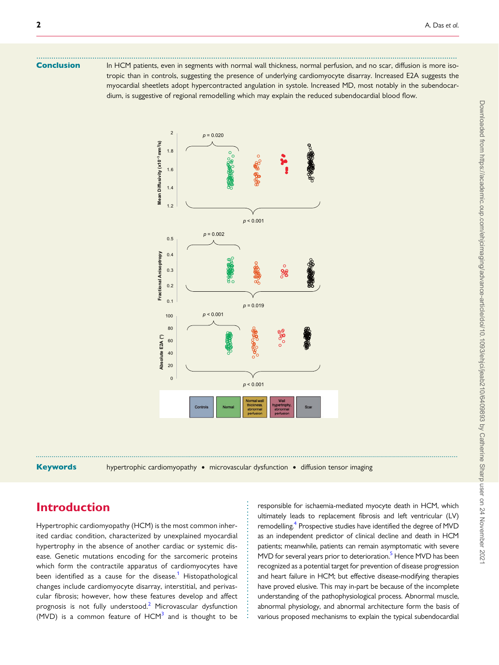Conclusion In HCM patients, even in segments with normal wall thickness, normal perfusion, and no scar, diffusion is more isotropic than in controls, suggesting the presence of underlying cardiomyocyte disarray. Increased E2A suggests the myocardial sheetlets adopt hypercontracted angulation in systole. Increased MD, most notably in the subendocardium, is suggestive of regional remodelling which may explain the reduced subendocardial blood flow.

<span id="page-1-0"></span>...................................................................................................................................................................................................



Keywords hypertrophic cardiomyopathy • microvascular dysfunction • diffusion tensor imaging

. . . . . . . . . . . . . . . . . . . . . . . . . . . . . . . . . . . .

## Introduction

Hypertrophic cardiomyopathy (HCM) is the most common inherited cardiac condition, characterized by unexplained myocardial hypertrophy in the absence of another cardiac or systemic disease. Genetic mutations encoding for the sarcomeric proteins which form the contractile apparatus of cardiomyocytes have been identified as a cause for the disease.<sup>[1](#page-9-0)</sup> Histopathological changes include cardiomyocyte disarray, interstitial, and perivascular fibrosis; however, how these features develop and affect prognosis is not fully understood. $2$  Microvascular dysfunction (MVD) is a common feature of  $HCM<sup>3</sup>$  $HCM<sup>3</sup>$  $HCM<sup>3</sup>$  and is thought to be

responsible for ischaemia-mediated myocyte death in HCM, which ultimately leads to replacement fibrosis and left ventricular (LV) remodelling.<sup>4</sup> Prospective studies have identified the degree of MVD as an independent predictor of clinical decline and death in HCM patients; meanwhile, patients can remain asymptomatic with severe MVD for several years prior to deterioration.<sup>[5](#page-9-0)</sup> Hence MVD has been recognized as a potential target for prevention of disease progression and heart failure in HCM; but effective disease-modifying therapies have proved elusive. This may in-part be because of the incomplete understanding of the pathophysiological process. Abnormal muscle, abnormal physiology, and abnormal architecture form the basis of various proposed mechanisms to explain the typical subendocardial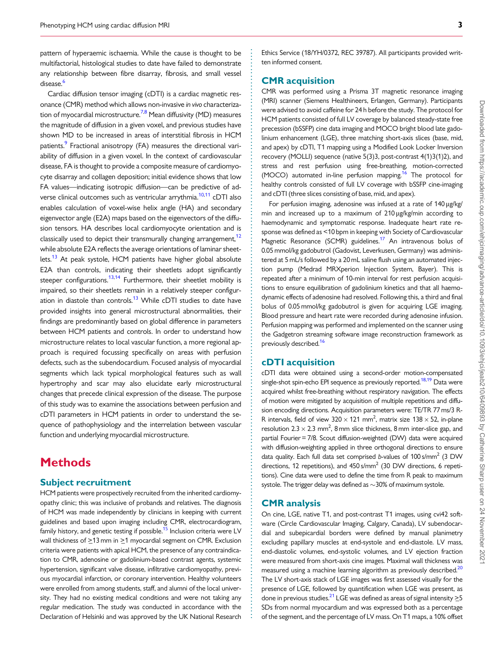<span id="page-2-0"></span>pattern of hyperaemic ischaemia. While the cause is thought to be multifactorial, histological studies to date have failed to demonstrate any relationship between fibre disarray, fibrosis, and small vessel disease.<sup>[6](#page-9-0)</sup>

Cardiac diffusion tensor imaging (cDTI) is a cardiac magnetic resonance (CMR) method which allows non-invasive in vivo characteriza-tion of myocardial microstructure.<sup>[7,8](#page-9-0)</sup> Mean diffusivity (MD) measures the magnitude of diffusion in a given voxel, and previous studies have shown MD to be increased in areas of interstitial fibrosis in HCM patients.<sup>9</sup> Fractional anisotropy (FA) measures the directional variability of diffusion in a given voxel. In the context of cardiovascular disease, FA is thought to provide a composite measure of cardiomyocyte disarray and collagen deposition; initial evidence shows that low FA values—indicating isotropic diffusion—can be predictive of ad-verse clinical outcomes such as ventricular arrythmia.<sup>[10](#page-10-0),[11](#page-10-0)</sup> cDTI also enables calculation of voxel-wise helix angle (HA) and secondary eigenvector angle (E2A) maps based on the eigenvectors of the diffusion tensors. HA describes local cardiomyocyte orientation and is classically used to depict their transmurally changing arrangement, $12$ while absolute E2A reflects the average orientations of laminar sheet-lets.<sup>[13](#page-10-0)</sup> At peak systole, HCM patients have higher global absolute E2A than controls, indicating their sheetlets adopt significantly steeper configurations.<sup>13,14</sup> Furthermore, their sheetlet mobility is impaired, so their sheetlets remain in a relatively steeper configur-ation in diastole than controls.<sup>[13](#page-10-0)</sup> While cDTI studies to date have provided insights into general microstructural abnormalities, their findings are predominantly based on global difference in parameters between HCM patients and controls. In order to understand how microstructure relates to local vascular function, a more regional approach is required focussing specifically on areas with perfusion defects, such as the subendocardium. Focused analysis of myocardial segments which lack typical morphological features such as wall hypertrophy and scar may also elucidate early microstructural changes that precede clinical expression of the disease. The purpose of this study was to examine the associations between perfusion and cDTI parameters in HCM patients in order to understand the sequence of pathophysiology and the interrelation between vascular function and underlying myocardial microstructure.

### **Methods**

#### Subject recruitment

HCM patients were prospectively recruited from the inherited cardiomyopathy clinic; this was inclusive of probands and relatives. The diagnosis of HCM was made independently by clinicians in keeping with current guidelines and based upon imaging including CMR, electrocardiogram, family history, and genetic testing if possible.<sup>15</sup> Inclusion criteria were LV wall thickness of  $\geq$ 13 mm in  $\geq$ 1 myocardial segment on CMR. Exclusion criteria were patients with apical HCM, the presence of any contraindication to CMR, adenosine or gadolinium-based contrast agents, systemic hypertension, significant valve disease, infiltrative cardiomyopathy, previous myocardial infarction, or coronary intervention. Healthy volunteers were enrolled from among students, staff, and alumni of the local university. They had no existing medical conditions and were not taking any regular medication. The study was conducted in accordance with the Declaration of Helsinki and was approved by the UK National Research Ethics Service (18/YH/0372, REC 39787). All participants provided written informed consent.

### CMR acquisition

CMR was performed using a Prisma 3T magnetic resonance imaging (MRI) scanner (Siemens Healthineers, Erlangen, Germany). Participants were advised to avoid caffeine for 24 h before the study. The protocol for HCM patients consisted of full LV coverage by balanced steady-state free precession (bSSFP) cine data imaging and MOCO bright blood late gadolinium enhancement (LGE), three matching short-axis slices (base, mid, and apex) by cDTI, T1 mapping using a Modified Look Locker Inversion recovery (MOLLI) sequence (native 5(3)3, post-contrast 4(1)3(1)2), and stress and rest perfusion using free-breathing, motion-corrected (MOCO) automated in-line perfusion mapping.<sup>[16](#page-10-0)</sup> The protocol for healthy controls consisted of full LV coverage with bSSFP cine-imaging and cDTI (three slices consisting of base, mid, and apex).

For perfusion imaging, adenosine was infused at a rate of 140 µg/kg/ min and increased up to a maximum of 210 µg/kg/min according to haemodynamic and symptomatic response. Inadequate heart rate response was defined as <10 bpm in keeping with Society of Cardiovascular Magnetic Resonance (SCMR) guidelines.<sup>17</sup> An intravenous bolus of 0.05 mmol/kg gadobutrol (Gadovist, Leverkusen, Germany) was administered at 5 mL/s followed by a 20 mL saline flush using an automated injection pump (Medrad MRXperion Injection System, Bayer). This is repeated after a minimum of 10-min interval for rest perfusion acquisitions to ensure equilibration of gadolinium kinetics and that all haemodynamic effects of adenosine had resolved. Following this, a third and final bolus of 0.05 mmol/kg gadobutrol is given for acquiring LGE imaging. Blood pressure and heart rate were recorded during adenosine infusion. Perfusion mapping was performed and implemented on the scanner using the Gadgetron streaming software image reconstruction framework as previously described.<sup>16</sup>

### cDTI acquisition

cDTI data were obtained using a second-order motion-compensated single-shot spin-echo EPI sequence as previously reported.<sup>18,19</sup> Data were acquired whilst free-breathing without respiratory navigation. The effects of motion were mitigated by acquisition of multiple repetitions and diffusion encoding directions. Acquisition parameters were: TE/TR 77 ms/3 R-R intervals, field of view  $320 \times 121$  mm<sup>2</sup>, matrix size 138  $\times$  52, in-plane resolution 2.3  $\times$  2.3 mm<sup>2</sup>, 8 mm slice thickness, 8 mm inter-slice gap, and partial Fourier = 7/8. Scout diffusion-weighted (DW) data were acquired with diffusion-weighting applied in three orthogonal directions to ensure data quality. Each full data set comprised b-values of  $100 \text{ s/mm}^2$  (3 DW directions, 12 repetitions), and 450 s/mm<sup>2</sup> (30 DW directions, 6 repetitions). Cine data were used to define the time from R peak to maximum systole. The trigger delay was defined as  $\sim$ 30% of maximum systole.

### CMR analysis

. . . . . . . . . . . . . . . . . . . . . . . . . . . . . . . . . . . . . . . . . . . . . . . . . . . . . . . . . . . . . . . . . . . . . . . . . . . . . . . . . . . . . . . . . . . . . . . . . . . . . . . . . . . . . . . . . . . . . . . . . . . . . . . . . . . . . . . . . . . . . . . . . . . . . . . . . . . . . . . . . . . . . . . . . . . .

On cine, LGE, native T1, and post-contrast T1 images, using cvi42 software (Circle Cardiovascular Imaging, Calgary, Canada), LV subendocardial and subepicardial borders were defined by manual planimetry excluding papillary muscles at end-systole and end-diastole. LV mass, end-diastolic volumes, end-systolic volumes, and LV ejection fraction were measured from short-axis cine images. Maximal wall thickness was measured using a machine learning algorithm as previously described.<sup>20</sup> The LV short-axis stack of LGE images was first assessed visually for the presence of LGE, followed by quantification when LGE was present, as done in previous studies.<sup>21</sup> LGE was defined as areas of signal intensity  $\geq$ 5 SDs from normal myocardium and was expressed both as a percentage of the segment, and the percentage of LV mass. On T1 maps, a 10% offset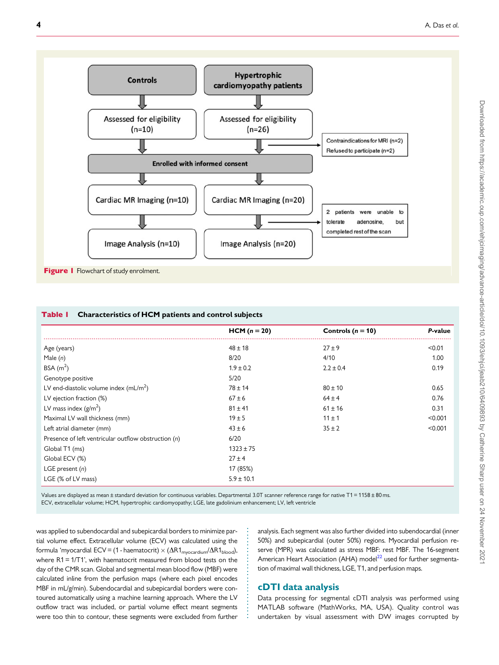<span id="page-3-0"></span>

|                                                      | $HCM (n = 20)$ | Controls ( $n = 10$ ) | P-value |
|------------------------------------------------------|----------------|-----------------------|---------|
| Age (years)                                          | $48 \pm 18$    | $27 \pm 9$            | < 0.01  |
| Male $(n)$                                           | 8/20           | 4/10                  | 1.00    |
| BSA $(m2)$                                           | $1.9 \pm 0.2$  | $2.2 \pm 0.4$         | 0.19    |
| Genotype positive                                    | 5/20           |                       |         |
| LV end-diastolic volume index $(mL/m2)$              | $78 \pm 14$    | $80 \pm 10$           | 0.65    |
| LV ejection fraction (%)                             | $67 \pm 6$     | $64 \pm 4$            | 0.76    |
| LV mass index $(g/m^2)$                              | $81 \pm 41$    | $61 \pm 16$           | 0.31    |
| Maximal LV wall thickness (mm)                       | $19 + 5$       | $11 \pm 1$            | < 0.001 |
| Left atrial diameter (mm)                            | $43 \pm 6$     | $35 \pm 2$            | < 0.001 |
| Presence of left ventricular outflow obstruction (n) | 6/20           |                       |         |
| Global T1 (ms)                                       | $1323 \pm 75$  |                       |         |
| Global ECV (%)                                       | $27 \pm 4$     |                       |         |
| LGE present $(n)$                                    | 17 (85%)       |                       |         |
| LGE (% of LV mass)                                   | $5.9 \pm 10.1$ |                       |         |

. . . . . . . . . . . . . . . . . . . . . . . . . . .

Values are displayed as mean ± standard deviation for continuous variables. Departmental 3.0T scanner reference range for native T1 = 1158 ± 80 ms. ECV, extracellular volume; HCM, hypertrophic cardiomyopathy; LGE, late gadolinium enhancement; LV, left ventricle

. was applied to subendocardial and subepicardial borders to minimize partial volume effect. Extracellular volume (ECV) was calculated using the formula 'myocardial ECV = (1 - haematocrit)  $\times$  ( $\Delta$ R1 $_{\text{myocardium}}$ / $\Delta$ R1 $_{\text{blood}}$ ), where R1 = 1/T1', with haematocrit measured from blood tests on the day of the CMR scan. Global and segmental mean blood flow (MBF) were calculated inline from the perfusion maps (where each pixel encodes MBF in mL/g/min). Subendocardial and subepicardial borders were contoured automatically using a machine learning approach. Where the LV outflow tract was included, or partial volume effect meant segments were too thin to contour, these segments were excluded from further

analysis. Each segment was also further divided into subendocardial (inner 50%) and subepicardial (outer 50%) regions. Myocardial perfusion reserve (MPR) was calculated as stress MBF: rest MBF. The 16-segment American Heart Association (AHA) model<sup>22</sup> used for further segmentation of maximal wall thickness, LGE, T1, and perfusion maps.

### cDTI data analysis

Data processing for segmental cDTI analysis was performed using MATLAB software (MathWorks, MA, USA). Quality control was undertaken by visual assessment with DW images corrupted by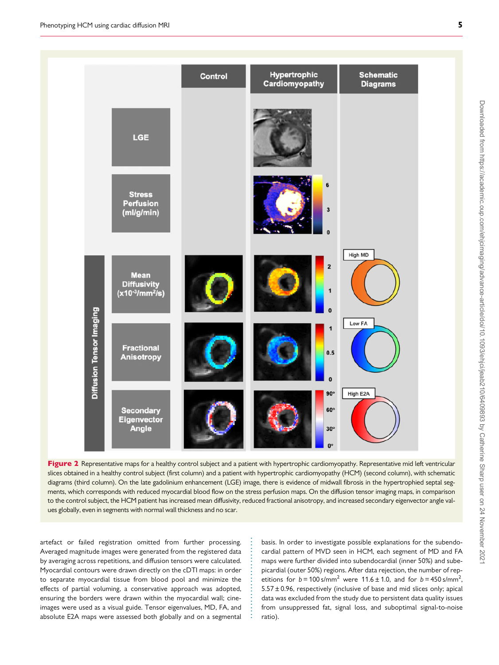<span id="page-4-0"></span>

Figure 2 Representative maps for a healthy control subject and a patient with hypertrophic cardiomyopathy. Representative mid left ventricular slices obtained in a healthy control subject (first column) and a patient with hypertrophic cardiomyopathy (HCM) (second column), with schematic diagrams (third column). On the late gadolinium enhancement (LGE) image, there is evidence of midwall fibrosis in the hypertrophied septal segments, which corresponds with reduced myocardial blood flow on the stress perfusion maps. On the diffusion tensor imaging maps, in comparison to the control subject, the HCM patient has increased mean diffusivity, reduced fractional anisotropy, and increased secondary eigenvector angle values globally, even in segments with normal wall thickness and no scar.

. . . . . . . . . . . . . . . . . . . . . . . .

artefact or failed registration omitted from further processing. Averaged magnitude images were generated from the registered data by averaging across repetitions, and diffusion tensors were calculated. Myocardial contours were drawn directly on the cDTI maps: in order to separate myocardial tissue from blood pool and minimize the effects of partial voluming, a conservative approach was adopted, ensuring the borders were drawn within the myocardial wall; cineimages were used as a visual guide. Tensor eigenvalues, MD, FA, and absolute E2A maps were assessed both globally and on a segmental basis. In order to investigate possible explanations for the subendocardial pattern of MVD seen in HCM, each segment of MD and FA maps were further divided into subendocardial (inner 50%) and subepicardial (outer 50%) regions. After data rejection, the number of repetitions for  $b = 100 \text{ s/mm}^2$  were 11.6 ± 1.0, and for  $b = 450 \text{ s/mm}^2$ , ,  $5.57 \pm 0.96$ , respectively (inclusive of base and mid slices only; apical data was excluded from the study due to persistent data quality issues from unsuppressed fat, signal loss, and suboptimal signal-to-noise ratio).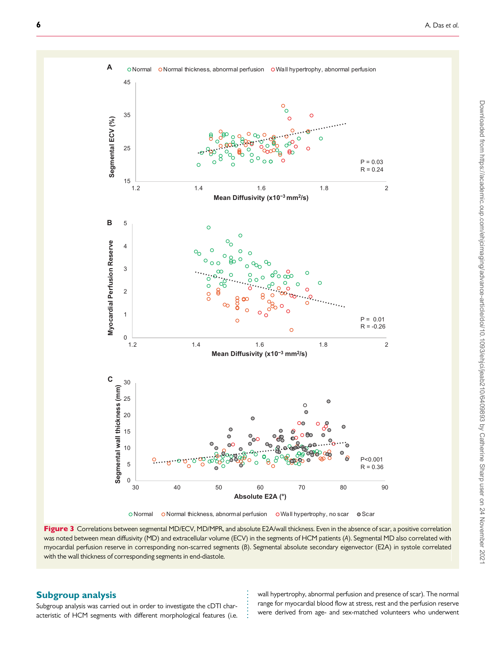<span id="page-5-0"></span>

Figure 3 Correlations between segmental MD/ECV, MD/MPR, and absolute E2A/wall thickness. Even in the absence of scar, a positive correlation was noted between mean diffusivity (MD) and extracellular volume (ECV) in the segments of HCM patients (A). Segmental MD also correlated with myocardial perfusion reserve in corresponding non-scarred segments (B). Segmental absolute secondary eigenvector (E2A) in systole correlated with the wall thickness of corresponding segments in end-diastole.

. . . . . . . .

### . Subgroup analysis

Subgroup analysis was carried out in order to investigate the cDTI characteristic of HCM segments with different morphological features (i.e.

wall hypertrophy, abnormal perfusion and presence of scar). The normal range for myocardial blood flow at stress, rest and the perfusion reserve were derived from age- and sex-matched volunteers who underwent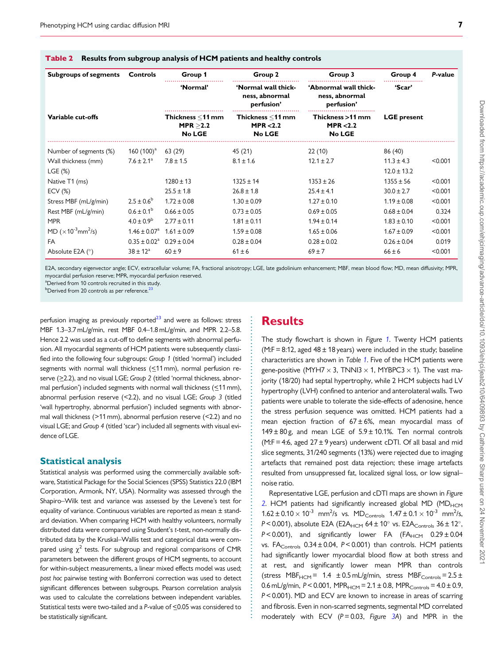| <b>Subgroups of segments</b>                       | Controls                     | Group 1                                 | Group 2                                             | Group 3                                               | Group 4            | P-value |
|----------------------------------------------------|------------------------------|-----------------------------------------|-----------------------------------------------------|-------------------------------------------------------|--------------------|---------|
|                                                    |                              | 'Normal'                                | 'Normal wall thick-<br>ness, abnormal<br>perfusion' | 'Abnormal wall thick-<br>ness, abnormal<br>perfusion' | 'Scar'             |         |
| Variable cut-offs                                  |                              | Thickness <11 mm<br>MPR > 2.2<br>No LGE | Thickness <11 mm<br>MPR $< 2.2$<br><b>No LGE</b>    | Thickness >11 mm<br>MPR $< 2.2$<br><b>No LGE</b>      | <b>LGE</b> present |         |
| Number of segments (%)                             | 160 $(100)^a$                | 63(29)                                  | 45 (21)                                             | 22(10)                                                | 86 (40)            |         |
| Wall thickness (mm)                                | $7.6 \pm 2.1^a$              | $7.8 \pm 1.5$                           | $8.1 \pm 1.6$                                       | $12.1 \pm 2.7$                                        | $11.3 \pm 4.3$     | < 0.001 |
| LGE(%)                                             |                              |                                         |                                                     |                                                       | $12.0 \pm 13.2$    |         |
| Native T1 (ms)                                     |                              | $1280 \pm 13$                           | $1325 \pm 14$                                       | $1353 \pm 26$                                         | $1355 \pm 56$      | < 0.001 |
| $ECV$ $(\%)$                                       |                              | $25.5 \pm 1.8$                          | $26.8 \pm 1.8$                                      | $25.4 \pm 4.1$                                        | $30.0 \pm 2.7$     | < 0.001 |
| Stress MBF (mL/g/min)                              | $2.5 \pm 0.6^{\circ}$        | $1.72 \pm 0.08$                         | $1.30 \pm 0.09$                                     | $1.27 \pm 0.10$                                       | $1.19 \pm 0.08$    | < 0.001 |
| Rest MBF (mL/g/min)                                | $0.6 \pm 0.1^{\rm b}$        | $0.66 \pm 0.05$                         | $0.73 \pm 0.05$                                     | $0.69 \pm 0.05$                                       | $0.68 \pm 0.04$    | 0.324   |
| <b>MPR</b>                                         | $4.0 \pm 0.9^{\rm b}$        | $2.77 \pm 0.11$                         | $1.81 \pm 0.11$                                     | $1.94 \pm 0.14$                                       | $1.83 \pm 0.10$    | < 0.001 |
| MD ( $\times$ 10 <sup>-3</sup> mm <sup>2</sup> /s) | $1.46 \pm 0.07$ <sup>a</sup> | $1.61 \pm 0.09$                         | $1.59 \pm 0.08$                                     | $1.65 \pm 0.06$                                       | $1.67 \pm 0.09$    | < 0.001 |
| FA                                                 | $0.35 \pm 0.02^a$            | $0.29 \pm 0.04$                         | $0.28 \pm 0.04$                                     | $0.28 \pm 0.02$                                       | $0.26 \pm 0.04$    | 0.019   |
| Absolute E2A (°)                                   | $38 \pm 12^{\circ}$          | $60 + 9$                                | $61 \pm 6$                                          | $69 \pm 7$                                            | $66 \pm 6$         | < 0.001 |

#### <span id="page-6-0"></span>Table 2 Results from subgroup analysis of HCM patients and healthy controls

E2A, secondary eigenvector angle; ECV, extracellular volume; FA, fractional anisotropy; LGE, late gadolinium enhancement; MBF, mean blood flow; MD, mean diffusivity; MPR, myocardial perfusion reserve; MPR, myocardial perfusion reserved.

> . . . . . . . . . . . . . . . . . . . . . . . . . . . . . . . . . . . . . . . . . . . . . . . . . . . . . . . . . . . . . . . . . . . . . . . . . . . . . . . . . . . . . . . . . . .

<sup>a</sup>Derived from 10 controls recruited in this study.

 $^{\rm b}$ Derived from 20 controls as per reference. $^{23}$  $^{23}$  $^{23}$ 

perfusion imaging as previously reported $^{23}$  and were as follows: stress MBF 1.3–3.7 mL/g/min, rest MBF 0.4–1.8 mL/g/min, and MPR 2.2–5.8. Hence 2.2 was used as a cut-off to define segments with abnormal perfusion. All myocardial segments of HCM patients were subsequently classified into the following four subgroups: Group 1 (titled 'normal') included segments with normal wall thickness ( $\leq$ 11 mm), normal perfusion reserve ( $\geq$ 2.2), and no visual LGE; Group 2 (titled 'normal thickness, abnormal perfusion') included segments with normal wall thickness  $(\leq 11 \text{ mm})$ , abnormal perfusion reserve (<2.2), and no visual LGE; Group 3 (titled 'wall hypertrophy, abnormal perfusion') included segments with abnormal wall thickness (>11 mm), abnormal perfusion reserve (<2.2) and no visual LGE; and Group 4 (titled 'scar') included all segments with visual evidence of LGE.

#### Statistical analysis

Statistical analysis was performed using the commercially available software, Statistical Package for the Social Sciences (SPSS) Statistics 22.0 (IBM Corporation, Armonk, NY, USA). Normality was assessed through the Shapiro–Wilk test and variance was assessed by the Levene's test for equality of variance. Continuous variables are reported as mean ± standard deviation. When comparing HCM with healthy volunteers, normally distributed data were compared using Student's t-test, non-normally distributed data by the Kruskal–Wallis test and categorical data were compared using  $\chi^2$  tests. For subgroup and regional comparisons of CMR parameters between the different groups of HCM segments, to account for within-subject measurements, a linear mixed effects model was used; post hoc pairwise testing with Bonferroni correction was used to detect significant differences between subgroups. Pearson correlation analysis was used to calculate the correlations between independent variables. Statistical tests were two-tailed and a P-value of  $\leq$ 0.05 was considered to be statistically significant.

### **Results**

The study flowchart is shown in Figure [1](#page-3-0). Twenty HCM patients (M:F = 8:12, aged  $48 \pm 18$  years) were included in the study; baseline characteristics are shown in Table [1](#page-3-0). Five of the HCM patients were gene-positive (MYH7  $\times$  3, TNNI3  $\times$  1, MYBPC3  $\times$  1). The vast majority (18/20) had septal hypertrophy, while 2 HCM subjects had LV hypertrophy (LVH) confined to anterior and anterolateral walls. Two patients were unable to tolerate the side-effects of adenosine, hence the stress perfusion sequence was omitted. HCM patients had a mean ejection fraction of  $67 \pm 6$ %, mean myocardial mass of  $149 \pm 80$  g, and mean LGE of  $5.9 \pm 10.1$ %. Ten normal controls (M:F = 4:6, aged  $27 \pm 9$  years) underwent cDTI. Of all basal and mid slice segments, 31/240 segments (13%) were rejected due to imaging artefacts that remained post data rejection; these image artefacts resulted from unsuppressed fat, localized signal loss, or low signal– noise ratio.

Representative LGE, perfusion and cDTI maps are shown in Figure [2](#page-4-0). HCM patients had significantly increased global MD ( $MD_{HCM}$  $1.62 \pm 0.10 \times 10^{-3}$  mm<sup>2</sup>/s vs. MD<sub>Controls</sub>  $1.47 \pm 0.1 \times 10^{-3}$  mm<sup>2</sup>/s, P < 0.001), absolute E2A (E2A<sub>HCM</sub> 64 ± 10° vs. E2A<sub>Controls</sub> 36 ± 12°,  $P < 0.001$ ), and significantly lower FA (FA $_{HCM}$  0.29 ± 0.04 vs. FA<sub>Controls</sub>  $0.34 \pm 0.04$ ,  $P < 0.001$ ) than controls. HCM patients had significantly lower myocardial blood flow at both stress and at rest, and significantly lower mean MPR than controls (stress MBF<sub>HCM</sub> = 1.4  $\pm$  0.5 mL/g/min, stress MBF<sub>Controls</sub> = 2.5  $\pm$ 0.6 mL/g/min,  $P < 0.001$ , MPR<sub>HCM</sub> =  $2.1 \pm 0.8$ , MPR<sub>Controls</sub> =  $4.0 \pm 0.9$ , P< 0.001). MD and ECV are known to increase in areas of scarring and fibrosis. Even in non-scarred segments, segmental MD correlated moderately with ECV ( $P = 0.03$ , Figure [3A](#page-5-0)) and MPR in the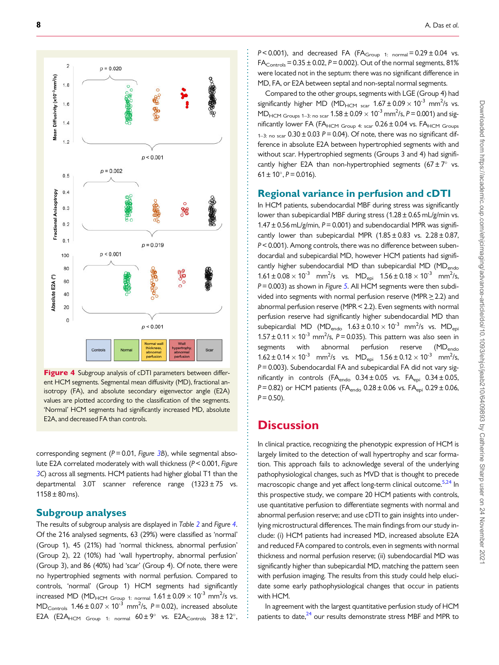<span id="page-7-0"></span>

Figure 4 Subgroup analysis of cDTI parameters between different HCM segments. Segmental mean diffusivity (MD), fractional anisotropy (FA), and absolute secondary eigenvector angle (E2A) values are plotted according to the classification of the segments. 'Normal' HCM segments had significantly increased MD, absolute E2A, and decreased FA than controls.

corresponding segment ( $P = 0.01$ , Figure [3](#page-5-0)B), while segmental absolute E2A correlated moderately with wall thickness (P< 0.001, Figure [3C](#page-5-0)) across all segments. HCM patients had higher global T1 than the departmental 3.0T scanner reference range  $(1323 \pm 75 \text{ vs.})$  $1158 \pm 80$  ms).

### Subgroup analyses

The results of subgroup analysis are displayed in Table [2](#page-6-0) and Figure 4. Of the 216 analysed segments, 63 (29%) were classified as 'normal' (Group 1), 45 (21%) had 'normal thickness, abnormal perfusion' (Group 2), 22 (10%) had 'wall hypertrophy, abnormal perfusion' (Group 3), and 86 (40%) had 'scar' (Group 4). Of note, there were no hypertrophied segments with normal perfusion. Compared to controls, 'normal' (Group 1) HCM segments had significantly increased MD (MD<sub>HCM Group 1: normal</sub>  $1.61\pm0.09\times10^{-3}$  mm<sup>2</sup>/s vs.  $MD_{\text{Controls}}$  1.46  $\pm$  0.07  $\times$  10<sup>-3</sup> mm<sup>2</sup>/s, P = 0.02), increased absolute E2A (E2A<sub>HCM Group 1: normal</sub>  $60 \pm 9^{\circ}$  vs. E2A<sub>Controls</sub>  $38 \pm 12^{\circ}$ ,  $P < 0.001$ ), and decreased FA (FA<sub>Group 1: normal</sub> =  $0.29 \pm 0.04$  vs.  $FA<sub>Corrols</sub> = 0.35 ± 0.02, P = 0.002$ ). Out of the normal segments, 81% were located not in the septum: there was no significant difference in MD, FA, or E2A between septal and non-septal normal segments.

Compared to the other groups, segments with LGE (Group 4) had significantly higher MD (MD<sub>HCM scar</sub>  $1.67 \pm 0.09 \times 10^{-3}$  mm<sup>2</sup>/s vs.  $MD_{HCM\ Groups\ 1-3: no\ scar}$  1.58  $\pm$  0.09  $\times$  10<sup>-3</sup> mm<sup>2</sup>/s, P = 0.001) and significantly lower FA (FA<sub>HCM Group 4: scar</sub>  $0.26 \pm 0.04$  vs. FA<sub>HCM Groups</sub>  $1-3$ : no scar  $0.30 \pm 0.03$  P = 0.04). Of note, there was no significant difference in absolute E2A between hypertrophied segments with and without scar. Hypertrophied segments (Groups 3 and 4) had significantly higher E2A than non-hypertrophied segments  $(67 \pm 7^{\circ}$  vs.  $61 \pm 10^{\circ}$ ,  $P = 0.016$ ).

### Regional variance in perfusion and cDTI

In HCM patients, subendocardial MBF during stress was significantly lower than subepicardial MBF during stress  $(1.28 \pm 0.65 \text{ mL/g/min} \text{ vs. } 1.28 \pm 0.65 \text{ mL/g/min} \text{ vs. } 1.28 \pm 0.65 \text{ mL/g/min} \text{ vs. } 1.28 \pm 0.65 \text{ mL/g/min} \text{ vs. } 1.28 \pm 0.65 \text{ mL/g/min} \text{ vs. } 1.28 \pm 0.65 \text{ mL/g/min} \text{ vs. } 1.28 \pm 0.65 \text{ mL/g/min} \text{ vs. } 1$  $1.47 \pm 0.56$  mL/g/min, P = 0.001) and subendocardial MPR was significantly lower than subepicardial MPR  $(1.85 \pm 0.83 \text{ vs. } 2.28 \pm 0.87,$ P< 0.001). Among controls, there was no difference between subendocardial and subepicardial MD, however HCM patients had significantly higher subendocardial MD than subepicardial MD (MD<sub>endo</sub>  $1.61 \pm 0.08 \times 10^{-3}$  mm<sup>2</sup>/s vs. MD<sub>epi</sub>  $1.56 \pm 0.18 \times 10^{-3}$  mm<sup>2</sup>/s,  $P = 0.003$ ) as shown in Figure [5](#page-8-0). All HCM segments were then subdivided into segments with normal perfusion reserve (MPR  $\geq$  2.2) and abnormal perfusion reserve (MPR < 2.2). Even segments with normal perfusion reserve had significantly higher subendocardial MD than subepicardial MD (MD<sub>endo</sub>  $1.63 \pm 0.10 \times 10^{-3}$  mm<sup>2</sup>/s vs. MD<sub>ep</sub>  $1.57 \pm 0.11 \times 10^{-3}$  mm<sup>2</sup>/s, P = 0.035). This pattern was also seen in segments with abnormal perfusion reserve (MD<sub>endo</sub>  $1.62 \pm 0.14 \times 10^{-3}$  mm<sup>2</sup>/s vs. MD<sub>epi</sub>  $1.56 \pm 0.12 \times 10^{-3}$  mm<sup>2</sup>/s,  $P = 0.003$ ). Subendocardial FA and subepicardial FA did not vary significantly in controls (FA $_{\text{endo}}$  0.34  $\pm$  0.05 vs. FA $_{\text{epi}}$  0.34  $\pm$  0.05, P = 0.82) or HCM patients (FA $_{\text{endo}}$  0.28 ± 0.06 vs. FA $_{\text{epi}}$  0.29 ± 0.06,  $P = 0.50$ ).

### **Discussion**

. . . . . . . . . . . . . . . . . . . . . . . . . . . . . . . . . . . . . . . . . . . . . . . . . . . . . . . . . . . . . . . . . . . . . . . . . . . . . . . . . . . . . . . . . . . . . . . . . . . . . . . . . . . . . . . . . . . . . . . . . . . . . . . . . . . . . . . . . . . . . . . . . . . . . . . . . . . . . . . . . . . . . . . . . . . . .

In clinical practice, recognizing the phenotypic expression of HCM is largely limited to the detection of wall hypertrophy and scar formation. This approach fails to acknowledge several of the underlying pathophysiological changes, such as MVD that is thought to precede macroscopic change and yet affect long-term clinical outcome.<sup>5[,24](#page-10-0)</sup> In this prospective study, we compare 20 HCM patients with controls, use quantitative perfusion to differentiate segments with normal and abnormal perfusion reserve; and use cDTI to gain insights into underlying microstructural differences. The main findings from our study include: (i) HCM patients had increased MD, increased absolute E2A and reduced FA compared to controls, even in segments with normal thickness and normal perfusion reserve; (ii) subendocardial MD was significantly higher than subepicardial MD, matching the pattern seen with perfusion imaging. The results from this study could help elucidate some early pathophysiological changes that occur in patients with HCM.

In agreement with the largest quantitative perfusion study of HCM patients to date, $24$  our results demonstrate stress MBF and MPR to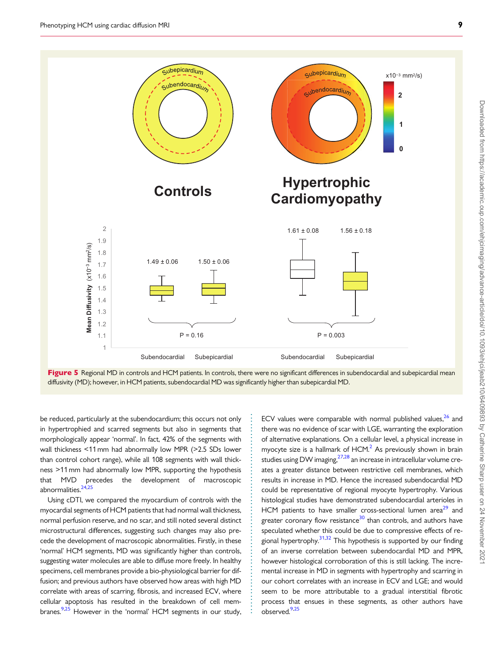**Mean Diffusivity** (x10−3 mm2/s)

**Mean Diffusivity** 

 $(x10^{-3}$  mm<sup>2</sup>/s)

1 1.1 1.2 1.3 1.4 1.5 1.6 1.7 1.8 1.9 2

<span id="page-8-0"></span>

. be reduced, particularly at the subendocardium; this occurs not only in hypertrophied and scarred segments but also in segments that morphologically appear 'normal'. In fact, 42% of the segments with wall thickness <11 mm had abnormally low MPR (>2.5 SDs lower than control cohort range), while all 108 segments with wall thickness >11 mm had abnormally low MPR, supporting the hypothesis that MVD precedes the development of macroscopic abnormalities. $24,25$ 

Using cDTI, we compared the myocardium of controls with the myocardial segments of HCM patients that had normal wall thickness, normal perfusion reserve, and no scar, and still noted several distinct microstructural differences, suggesting such changes may also precede the development of macroscopic abnormalities. Firstly, in these 'normal' HCM segments, MD was significantly higher than controls, suggesting water molecules are able to diffuse more freely. In healthy specimens, cell membranes provide a bio-physiological barrier for diffusion; and previous authors have observed how areas with high MD correlate with areas of scarring, fibrosis, and increased ECV, where cellular apoptosis has resulted in the breakdown of cell membranes.<sup>9,25</sup> However in the 'normal' HCM segments in our study,

. . . . . . . . . . . . . . . . . . . . . . . . . . . . . . . . . . . . . . . . . . . . . . . . . . . . . . . . . . . .

ECV values were comparable with normal published values, $26$  and there was no evidence of scar with LGE, warranting the exploration of alternative explanations. On a cellular level, a physical increase in myocyte size is a hallmark of  $HCM<sup>2</sup>$ . As previously shown in brain studies using DW imaging, $27,28$  an increase in intracellular volume creates a greater distance between restrictive cell membranes, which results in increase in MD. Hence the increased subendocardial MD could be representative of regional myocyte hypertrophy. Various histological studies have demonstrated subendocardial arterioles in HCM patients to have smaller cross-sectional lumen area $29$  and greater coronary flow resistance<sup>[30](#page-10-0)</sup> than controls, and authors have speculated whether this could be due to compressive effects of regional hypertrophy. $31,32$  This hypothesis is supported by our finding of an inverse correlation between subendocardial MD and MPR, however histological corroboration of this is still lacking. The incremental increase in MD in segments with hypertrophy and scarring in our cohort correlates with an increase in ECV and LGE; and would seem to be more attributable to a gradual interstitial fibrotic process that ensues in these segments, as other authors have observed.<sup>[9,25](#page-10-0)</sup>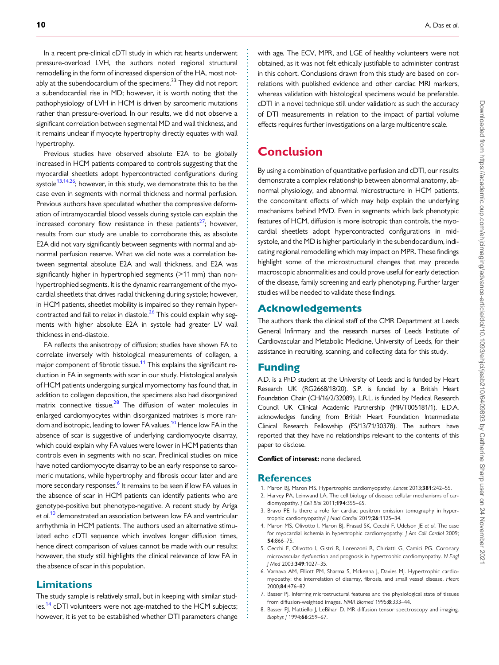<span id="page-9-0"></span>. In a recent pre-clinical cDTI study in which rat hearts underwent pressure-overload LVH, the authors noted regional structural remodelling in the form of increased dispersion of the HA, most notably at the subendocardium of the specimens. $33$  They did not report a subendocardial rise in MD; however, it is worth noting that the pathophysiology of LVH in HCM is driven by sarcomeric mutations rather than pressure-overload. In our results, we did not observe a significant correlation between segmental MD and wall thickness, and it remains unclear if myocyte hypertrophy directly equates with wall hypertrophy.

Previous studies have observed absolute E2A to be globally increased in HCM patients compared to controls suggesting that the myocardial sheetlets adopt hypercontracted configurations during systole<sup>13,14,26</sup>; however, in this study, we demonstrate this to be the case even in segments with normal thickness and normal perfusion. Previous authors have speculated whether the compressive deformation of intramyocardial blood vessels during systole can explain the increased coronary flow resistance in these patients<sup>27</sup>; however, results from our study are unable to corroborate this, as absolute E2A did not vary significantly between segments with normal and abnormal perfusion reserve. What we did note was a correlation between segmental absolute E2A and wall thickness, and E2A was significantly higher in hypertrophied segments (>11 mm) than nonhypertrophied segments. It is the dynamic rearrangement of the myocardial sheetlets that drives radial thickening during systole; however, in HCM patients, sheetlet mobility is impaired so they remain hypercontracted and fail to relax in diastole. $26$  This could explain why segments with higher absolute E2A in systole had greater LV wall thickness in end-diastole.

FA reflects the anisotropy of diffusion; studies have shown FA to correlate inversely with histological measurements of collagen, a major component of fibrotic tissue.<sup>11</sup> This explains the significant reduction in FA in segments with scar in our study. Histological analysis of HCM patients undergoing surgical myomectomy has found that, in addition to collagen deposition, the specimens also had disorganized matrix connective tissue.<sup>[28](#page-10-0)</sup> The diffusion of water molecules in enlarged cardiomyocytes within disorganized matrixes is more ran-dom and isotropic, leading to lower FA values.<sup>[10](#page-10-0)</sup> Hence low FA in the absence of scar is suggestive of underlying cardiomyocyte disarray, which could explain why FA values were lower in HCM patients than controls even in segments with no scar. Preclinical studies on mice have noted cardiomyocyte disarray to be an early response to sarcomeric mutations, while hypertrophy and fibrosis occur later and are more secondary responses.<sup>6</sup> It remains to be seen if low FA values in the absence of scar in HCM patients can identify patients who are genotype-positive but phenotype-negative. A recent study by Ariga et al.<sup>[10](#page-10-0)</sup> demonstrated an association between low FA and ventricular arrhythmia in HCM patients. The authors used an alternative stimulated echo cDTI sequence which involves longer diffusion times, hence direct comparison of values cannot be made with our results; however, the study still highlights the clinical relevance of low FA in the absence of scar in this population.

### Limitations

The study sample is relatively small, but in keeping with similar studies.<sup>14</sup> cDTI volunteers were not age-matched to the HCM subjects; however, it is yet to be established whether DTI parameters change

with age. The ECV, MPR, and LGE of healthy volunteers were not obtained, as it was not felt ethically justifiable to administer contrast in this cohort. Conclusions drawn from this study are based on correlations with published evidence and other cardiac MRI markers, whereas validation with histological specimens would be preferable. cDTI in a novel technique still under validation: as such the accuracy of DTI measurements in relation to the impact of partial volume effects requires further investigations on a large multicentre scale.

### Conclusion

By using a combination of quantitative perfusion and cDTI, our results demonstrate a complex relationship between abnormal anatomy, abnormal physiology, and abnormal microstructure in HCM patients, the concomitant effects of which may help explain the underlying mechanisms behind MVD. Even in segments which lack phenotypic features of HCM, diffusion is more isotropic than controls, the myocardial sheetlets adopt hypercontracted configurations in midsystole, and the MD is higher particularly in the subendocardium, indicating regional remodelling which may impact on MPR. These findings highlight some of the microstructural changes that may precede macroscopic abnormalities and could prove useful for early detection of the disease, family screening and early phenotyping. Further larger studies will be needed to validate these findings.

### Acknowledgements

The authors thank the clinical staff of the CMR Department at Leeds General Infirmary and the research nurses of Leeds Institute of Cardiovascular and Metabolic Medicine, University of Leeds, for their assistance in recruiting, scanning, and collecting data for this study.

### Funding

A.D. is a PhD student at the University of Leeds and is funded by Heart Research UK (RG2668/18/20). S.P. is funded by a British Heart Foundation Chair (CH/16/2/32089). L.R.L. is funded by Medical Research Council UK Clinical Academic Partnership (MR/T005181/1). E.D.A. acknowledges funding from British Heart Foundation Intermediate Clinical Research Fellowship (FS/13/71/30378). The authors have reported that they have no relationships relevant to the contents of this paper to disclose.

#### Conflict of interest: none declared.

### References

. . . . . . . . . . . . . . . . . . . . . . . . . . . . . . . . . . . . . . . . . . . . . . . . . . . . . . . . . . . . . . . . . . . . . . . . . . . . . . . . . . . . . . . . . . . . . . . . . . . . . . . . . . . . . . . . . . . . . . . . . . . . . . . . . . . . . . . . . . . . . . . . . . . . . . . . . . . . . . . . . . . . . . . . . . . .

- [1.](#page-1-0) Maron BJ, Maron MS. Hypertrophic cardiomyopathy. Lancet 2013;381:242-55.
- [2.](#page-1-0) Harvey PA, Leinwand LA. The cell biology of disease: cellular mechanisms of cardiomyopathy. J Cell Biol 2011;194:355-65.
- [3.](#page-1-0) Bravo PE. Is there a role for cardiac positron emission tomography in hypertrophic cardiomyopathy? J Nucl Cardiol 2019;26:1125-34.
- [4.](#page-1-0) Maron MS, Olivotto I, Maron BJ, Prasad SK, Cecchi F, Udelson JE et al. The case for myocardial ischemia in hypertrophic cardiomyopathy. J Am Coll Cardiol 2009; 54:866–75.
- [5.](#page-1-0) Cecchi F, Olivotto I, Gistri R, Lorenzoni R, Chiriatti G, Camici PG. Coronary microvascular dysfunction and prognosis in hypertrophic cardiomyopathy. N Engl J Med 2003;349:1027–35.
- [6.](#page-2-0) Varnava AM, Elliott PM, Sharma S, Mckenna J, Davies MJ. Hypertrophic cardiomyopathy: the interrelation of disarray, fibrosis, and small vessel disease. Heart 2000;84:476–82.
- [7.](#page-2-0) Basser PJ. Inferring microstructural features and the physiological state of tissues from diffusion-weighted images. NMR Biomed 1995;8:333–44.
- [8.](#page-2-0) Basser PJ, Mattiello J, LeBihan D. MR diffusion tensor spectroscopy and imaging. Biophys J 1994;66:259–67.